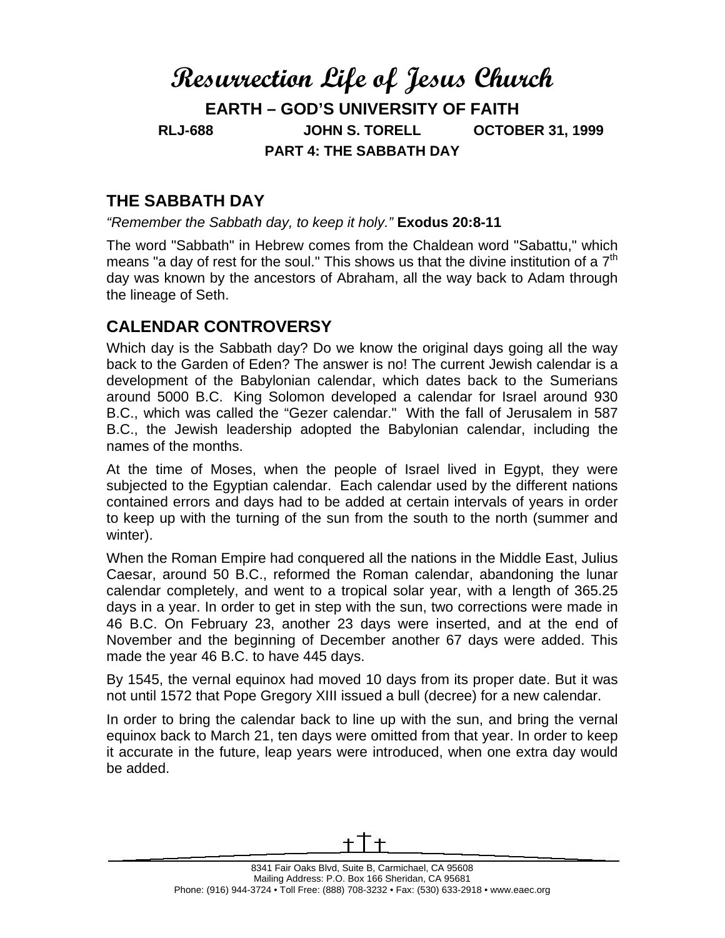## **Resurrection Life of Jesus Church EARTH – GOD'S UNIVERSITY OF FAITH RLJ-688 JOHN S. TORELL OCTOBER 31, 1999 PART 4: THE SABBATH DAY**

## **THE SABBATH DAY**

*"Remember the Sabbath day, to keep it holy."* **Exodus 20:8-11** 

The word "Sabbath" in Hebrew comes from the Chaldean word "Sabattu," which means "a day of rest for the soul." This shows us that the divine institution of a  $7<sup>th</sup>$ day was known by the ancestors of Abraham, all the way back to Adam through the lineage of Seth.

## **CALENDAR CONTROVERSY**

Which day is the Sabbath day? Do we know the original days going all the way back to the Garden of Eden? The answer is no! The current Jewish calendar is a development of the Babylonian calendar, which dates back to the Sumerians around 5000 B.C. King Solomon developed a calendar for Israel around 930 B.C., which was called the "Gezer calendar." With the fall of Jerusalem in 587 B.C., the Jewish leadership adopted the Babylonian calendar, including the names of the months.

At the time of Moses, when the people of Israel lived in Egypt, they were subjected to the Egyptian calendar. Each calendar used by the different nations contained errors and days had to be added at certain intervals of years in order to keep up with the turning of the sun from the south to the north (summer and winter).

When the Roman Empire had conquered all the nations in the Middle East, Julius Caesar, around 50 B.C., reformed the Roman calendar, abandoning the lunar calendar completely, and went to a tropical solar year, with a length of 365.25 days in a year. In order to get in step with the sun, two corrections were made in 46 B.C. On February 23, another 23 days were inserted, and at the end of November and the beginning of December another 67 days were added. This made the year 46 B.C. to have 445 days.

By 1545, the vernal equinox had moved 10 days from its proper date. But it was not until 1572 that Pope Gregory XIII issued a bull (decree) for a new calendar.

In order to bring the calendar back to line up with the sun, and bring the vernal equinox back to March 21, ten days were omitted from that year. In order to keep it accurate in the future, leap years were introduced, when one extra day would be added.